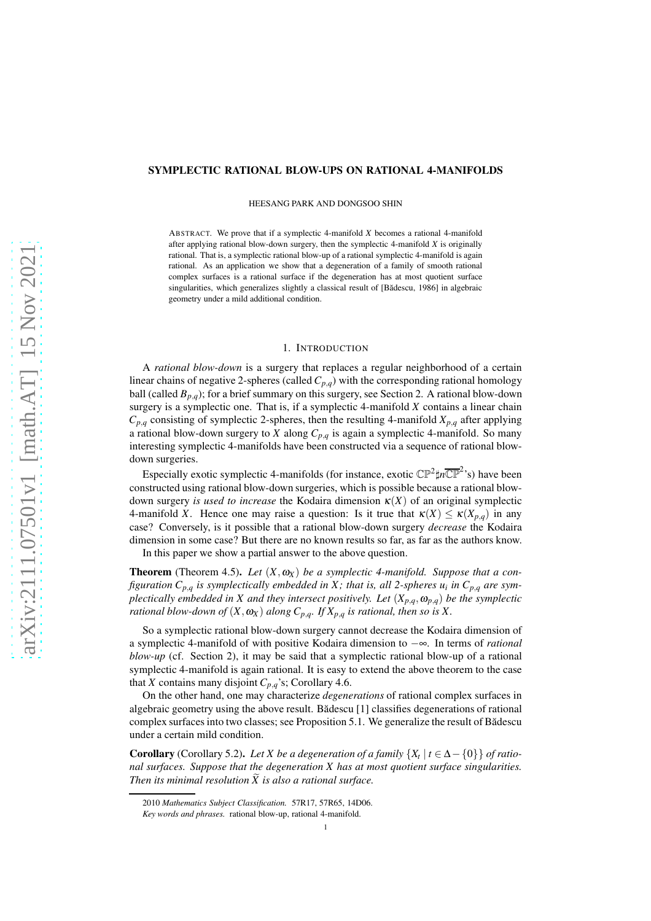## SYMPLECTIC RATIONAL BLOW-UPS ON RATIONAL 4-MANIFOLDS

HEESANG PARK AND DONGSOO SHIN

ABSTRACT. We prove that if a symplectic 4-manifold *X* becomes a rational 4-manifold after applying rational blow-down surgery, then the symplectic 4-manifold *X* is originally rational. That is, a symplectic rational blow-up of a rational symplectic 4-manifold is again rational. As an application we show that a degeneration of a family of smooth rational complex surfaces is a rational surface if the degeneration has at most quotient surface singularities, which generalizes slightly a classical result of [Bădescu, 1986] in algebraic geometry under a mild additional condition.

### 1. INTRODUCTION

A *rational blow-down* is a surgery that replaces a regular neighborhood of a certain linear chains of negative 2-spheres (called  $C_{p,q}$ ) with the corresponding rational homology ball (called  $B_{p,q}$ ); for a brief summary on this surgery, see Section [2.](#page-1-0) A rational blow-down surgery is a symplectic one. That is, if a symplectic 4-manifold *X* contains a linear chain  $C_{p,q}$  consisting of symplectic 2-spheres, then the resulting 4-manifold  $X_{p,q}$  after applying a rational blow-down surgery to *X* along *Cp*,*<sup>q</sup>* is again a symplectic 4-manifold. So many interesting symplectic 4-manifolds have been constructed via a sequence of rational blowdown surgeries.

Especially exotic symplectic 4-manifolds (for instance, exotic  $\mathbb{CP}^2 \sharp n \overline{\mathbb{CP}}^2$ 's) have been constructed using rational blow-down surgeries, which is possible because a rational blowdown surgery *is used to increase* the Kodaira dimension <sup>κ</sup>(*X*) of an original symplectic 4-manifold *X*. Hence one may raise a question: Is it true that  $\kappa(X) \leq \kappa(X_{p,q})$  in any case? Conversely, is it possible that a rational blow-down surgery *decrease* the Kodaira dimension in some case? But there are no known results so far, as far as the authors know. In this paper we show a partial answer to the above question.

**Theorem** (Theorem [4.5\)](#page-4-0). Let  $(X, \omega_X)$  be a symplectic 4-manifold. Suppose that a con*figuration Cp*,*<sup>q</sup> is symplectically embedded in X ; that is, all 2-spheres u<sup>i</sup> in Cp*,*<sup>q</sup> are symplectically embedded in X and they intersect positively. Let*  $(X_{p,q}, \omega_{p,q})$  *be the symplectic rational blow-down of*  $(X, \omega_X)$  *along*  $C_{p,q}$ *. If*  $X_{p,q}$  *is rational, then so is* X.

So a symplectic rational blow-down surgery cannot decrease the Kodaira dimension of a symplectic 4-manifold of with positive Kodaira dimension to −∞. In terms of *rational blow-up* (cf. Section [2\)](#page-1-0), it may be said that a symplectic rational blow-up of a rational symplectic 4-manifold is again rational. It is easy to extend the above theorem to the case that *X* contains many disjoint  $C_{p,q}$ 's; Corollary [4.6.](#page-5-0)

On the other hand, one may characterize *degenerations* of rational complex surfaces in algebraic geometry using the above result. Bădescu  $[1]$  classifies degenerations of rational complex surfaces into two classes; see Proposition [5.1.](#page-5-2) We generalize the result of Bădescu under a certain mild condition.

**Corollary** (Corollary [5.2\)](#page-5-3). *Let X be a degeneration of a family*  $\{X_t | t \in \Delta - \{0\}\}\$  *of rational surfaces. Suppose that the degeneration X has at most quotient surface singularities. Then its minimal resolution*  $\widetilde{X}$  *is also a rational surface.* 

<sup>2010</sup> *Mathematics Subject Classification.* 57R17, 57R65, 14D06.

*Key words and phrases.* rational blow-up, rational 4-manifold.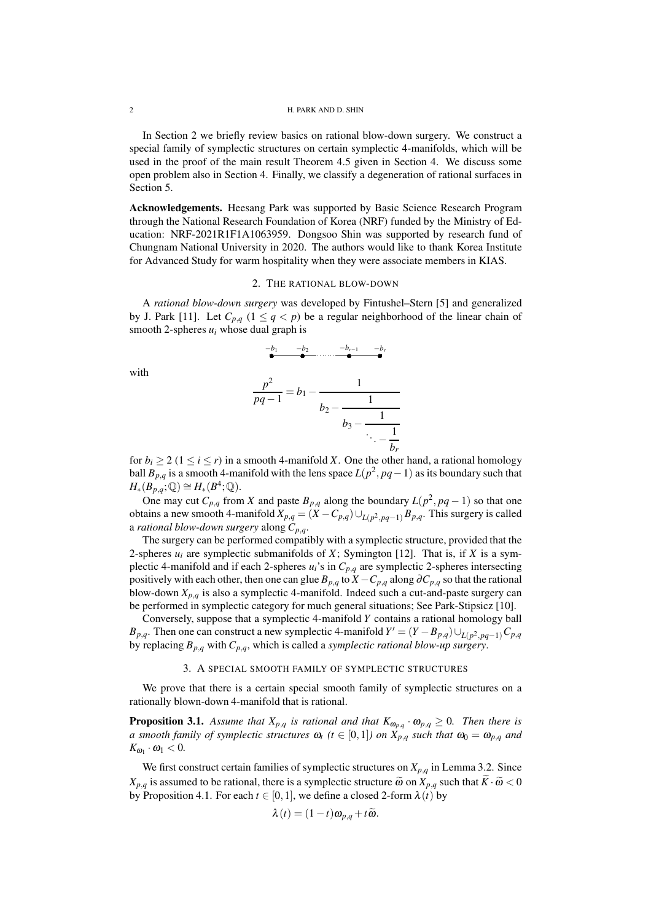#### 2 H. PARK AND D. SHIN

In Section [2](#page-1-0) we briefly review basics on rational blow-down surgery. We construct a special family of symplectic structures on certain symplectic 4-manifolds, which will be used in the proof of the main result Theorem [4.5](#page-4-0) given in Section [4.](#page-3-0) We discuss some open problem also in Section [4.](#page-3-0) Finally, we classify a degeneration of rational surfaces in Section [5.](#page-5-4)

Acknowledgements. Heesang Park was supported by Basic Science Research Program through the National Research Foundation of Korea (NRF) funded by the Ministry of Education: NRF-2021R1F1A1063959. Dongsoo Shin was supported by research fund of Chungnam National University in 2020. The authors would like to thank Korea Institute for Advanced Study for warm hospitality when they were associate members in KIAS.

## 2. THE RATIONAL BLOW-DOWN

<span id="page-1-0"></span>A *rational blow-down surgery* was developed by Fintushel–Stern [\[5\]](#page-6-0) and generalized by J. Park [\[11\]](#page-6-1). Let  $C_{p,q}$   $(1 \leq q \leq p)$  be a regular neighborhood of the linear chain of smooth 2-spheres  $u_i$  whose dual graph is

$$
\begin{array}{cccc}\n-b_1 & -b_2 & -b_{r-1} & -b_r \\
\hline\n\end{array}
$$

with

$$
\frac{p^2}{pq-1} = b_1 - \cfrac{1}{b_2 - \cfrac{1}{b_3 - \cfrac{1}{\ddots - \cfrac{1}{b_r}}}}
$$

for  $b_i > 2$  ( $1 \le i \le r$ ) in a smooth 4-manifold *X*. One the other hand, a rational homology ball  $B_{p,q}$  is a smooth 4-manifold with the lens space  $L(p^2, pq-1)$  as its boundary such that  $H_*(B_{p,q};\mathbb{Q}) \cong H_*(B^4;\mathbb{Q}).$ 

One may cut  $C_{p,q}$  from *X* and paste  $B_{p,q}$  along the boundary  $L(p^2, pq-1)$  so that one obtains a new smooth 4-manifold  $X_{p,q} = (X - C_{p,q}) \cup_{L(p^2,pq-1)} B_{p,q}$ . This surgery is called a *rational blow-down surgery* along *Cp*,*q*.

The surgery can be performed compatibly with a symplectic structure, provided that the 2-spheres  $u_i$  are symplectic submanifolds of *X*; Symington [\[12\]](#page-6-2). That is, if *X* is a symplectic 4-manifold and if each 2-spheres  $u_i$ 's in  $C_{p,q}$  are symplectic 2-spheres intersecting positively with each other, then one can glue  $B_{p,q}$  to  $X - C_{p,q}$  along  $\partial C_{p,q}$  so that the rational blow-down  $X_{p,q}$  is also a symplectic 4-manifold. Indeed such a cut-and-paste surgery can be performed in symplectic category for much general situations; See Park-Stipsicz [\[10\]](#page-6-3).

Conversely, suppose that a symplectic 4-manifold *Y* contains a rational homology ball *B*<sub>*p*</sub>,*q*. Then one can construct a new symplectic 4-manifold  $Y' = (Y - B_{p,q}) \cup_{L(p^2,pq-1)} C_{p,q}$ by replacing  $B_{p,q}$  with  $C_{p,q}$ , which is called a *symplectic rational blow-up surgery*.

#### 3. A SPECIAL SMOOTH FAMILY OF SYMPLECTIC STRUCTURES

We prove that there is a certain special smooth family of symplectic structures on a rationally blown-down 4-manifold that is rational.

<span id="page-1-1"></span>**Proposition 3.1.** Assume that  $X_{p,q}$  is rational and that  $K_{\omega_{p,q}} \cdot \omega_{p,q} \geq 0$ . Then there is *a* smooth family of symplectic structures  $\omega_t$  ( $t \in [0,1]$ ) on  $\overline{X}_{p,q}$  such that  $\omega_0 = \omega_{p,q}$  and  $K_{\omega_1} \cdot \omega_1 < 0.$ 

We first construct certain families of symplectic structures on  $X_{p,q}$  in Lemma [3.2.](#page-2-0) Since *X*<sub>*p*</sub>,*q* is assumed to be rational, there is a symplectic structure  $\tilde{\omega}$  on *X*<sub>*p*</sub>,*q* such that  $\tilde{K} \cdot \tilde{\omega} < 0$ by Proposition [4.1.](#page-3-1) For each  $t \in [0,1]$ , we define a closed 2-form  $\lambda(t)$  by

$$
\lambda(t) = (1-t)\omega_{p,q} + t\widetilde{\omega}.
$$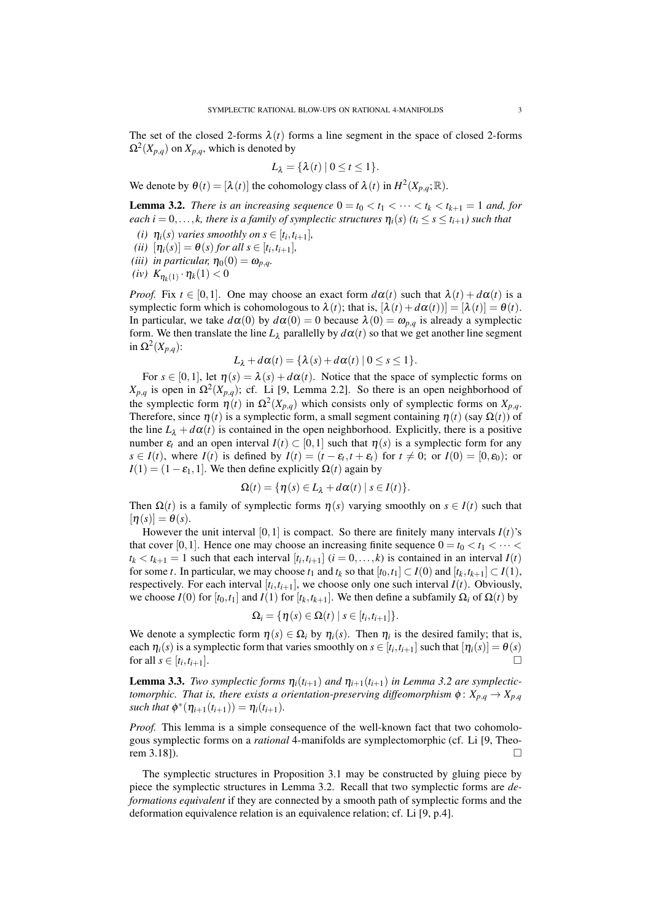The set of the closed 2-forms  $\lambda(t)$  forms a line segment in the space of closed 2-forms  $\Omega^2(X_{p,q})$  on  $X_{p,q}$ , which is denoted by

$$
L_{\lambda} = \{ \lambda(t) \mid 0 \leq t \leq 1 \}.
$$

We denote by  $\theta(t) = [\lambda(t)]$  the cohomology class of  $\lambda(t)$  in  $H^2(X_{p,q}; \mathbb{R})$ .

<span id="page-2-0"></span>**Lemma 3.2.** *There is an increasing sequence*  $0 = t_0 < t_1 < \cdots < t_k < t_{k+1} = 1$  *and, for each i* = 0,...,*k*, there is a family of symplectic structures  $\eta_i(s)$  ( $t_i \leq s \leq t_{i+1}$ ) such that

- *(i)*  $\eta_i(s)$  *varies smoothly on*  $s \in [t_i, t_{i+1}]$ *,*
- $(iii)$   $[\eta_i(s)] = \theta(s)$  for all  $s \in [t_i, t_{i+1}],$
- *(iii) in particular,*  $\eta_0(0) = \omega_{p,q}$ *.*
- $(iv) K_{\eta_k(1)} \cdot \eta_k(1) < 0$

*Proof.* Fix  $t \in [0,1]$ . One may choose an exact form  $d\alpha(t)$  such that  $\lambda(t) + d\alpha(t)$  is a symplectic form which is cohomologous to  $\lambda(t)$ ; that is,  $[\lambda(t) + d\alpha(t))] = [\lambda(t)] = \theta(t)$ . In particular, we take  $d\alpha(0)$  by  $d\alpha(0) = 0$  because  $\lambda(0) = \omega_{p,q}$  is already a symplectic form. We then translate the line  $L_{\lambda}$  parallelly by  $d\alpha(t)$  so that we get another line segment in  $Ω<sup>2</sup>(X<sub>p,q</sub>)$ :

$$
L_{\lambda}+d\alpha(t)=\{\lambda(s)+d\alpha(t)\mid 0\leq s\leq 1\}.
$$

For  $s \in [0,1]$ , let  $\eta(s) = \lambda(s) + d\alpha(t)$ . Notice that the space of symplectic forms on *X*<sub>*p*,*q*</sub> is open in  $Ω<sup>2</sup>(X<sub>p,q</sub>)$ ; cf. Li [\[9,](#page-6-4) Lemma 2.2]. So there is an open neighborhood of the symplectic form  $\eta(t)$  in  $\Omega^2(X_{p,q})$  which consists only of symplectic forms on  $X_{p,q}$ . Therefore, since  $\eta(t)$  is a symplectic form, a small segment containing  $\eta(t)$  (say  $\Omega(t)$ ) of the line  $L_{\lambda} + d\alpha(t)$  is contained in the open neighborhood. Explicitly, there is a positive number  $\varepsilon_t$  and an open interval  $I(t) \subset [0,1]$  such that  $\eta(s)$  is a symplectic form for any *s* ∈ *I*(*t*), where *I*(*t*) is defined by *I*(*t*) = (*t* −  $\varepsilon$ <sub>*t*</sub>,*t* +  $\varepsilon$ <sub>*t*</sub>) for *t*  $\neq$  0; or *I*(0) = [0, $\varepsilon$ <sub>0</sub>); or  $I(1) = (1 - \varepsilon_1, 1]$ . We then define explicitly  $\Omega(t)$  again by

$$
\Omega(t) = \{ \eta(s) \in L_{\lambda} + d\alpha(t) \mid s \in I(t) \}.
$$

Then  $\Omega(t)$  is a family of symplectic forms  $\eta(s)$  varying smoothly on  $s \in I(t)$  such that  $[\eta(s)] = \theta(s).$ 

However the unit interval [0,1] is compact. So there are finitely many intervals  $I(t)$ 's that cover [0, 1]. Hence one may choose an increasing finite sequence  $0 = t_0 < t_1 < \cdots <$  $t_k < t_{k+1} = 1$  such that each interval  $[t_i, t_{i+1}]$   $(i = 0, \ldots, k)$  is contained in an interval  $I(t)$ for some *t*. In particular, we may choose  $t_1$  and  $t_k$  so that  $[t_0, t_1] \subset I(0)$  and  $[t_k, t_{k+1}] \subset I(1)$ , respectively. For each interval  $[t_i, t_{i+1}]$ , we choose only one such interval  $I(t)$ . Obviously, we choose *I*(0) for  $[t_0, t_1]$  and *I*(1) for  $[t_k, t_{k+1}]$ . We then define a subfamily  $\Omega_i$  of  $\Omega(t)$  by

$$
\Omega_i = \{ \eta(s) \in \Omega(t) \mid s \in [t_i, t_{i+1}] \}.
$$

We denote a symplectic form  $\eta(s) \in \Omega_i$  by  $\eta_i(s)$ . Then  $\eta_i$  is the desired family; that is, each  $\eta_i(s)$  is a symplectic form that varies smoothly on  $s \in [t_i, t_{i+1}]$  such that  $[\eta_i(s)] = \theta(s)$ for all  $s \in [t_i, t_{i+1}]$ . ,*ti*+1].

<span id="page-2-1"></span>**Lemma 3.3.** *Two symplectic forms*  $\eta_i(t_{i+1})$  *and*  $\eta_{i+1}(t_{i+1})$  *in Lemma* [3.2](#page-2-0) *are symplectictomorphic. That is, there exists a orientation-preserving diffeomorphism*  $\phi$ :  $X_{p,q} \to X_{p,q}$ *such that*  $\phi^*(\eta_{i+1}(t_{i+1})) = \eta_i(t_{i+1}).$ 

*Proof.* This lemma is a simple consequence of the well-known fact that two cohomologous symplectic forms on a *rational* 4-manifolds are symplectomorphic (cf. Li [\[9,](#page-6-4) Theorem 3.18]).  $\square$ 

The symplectic structures in Proposition [3.1](#page-1-1) may be constructed by gluing piece by piece the symplectic structures in Lemma [3.2.](#page-2-0) Recall that two symplectic forms are *deformations equivalent* if they are connected by a smooth path of symplectic forms and the deformation equivalence relation is an equivalence relation; cf. Li [\[9,](#page-6-4) p.4].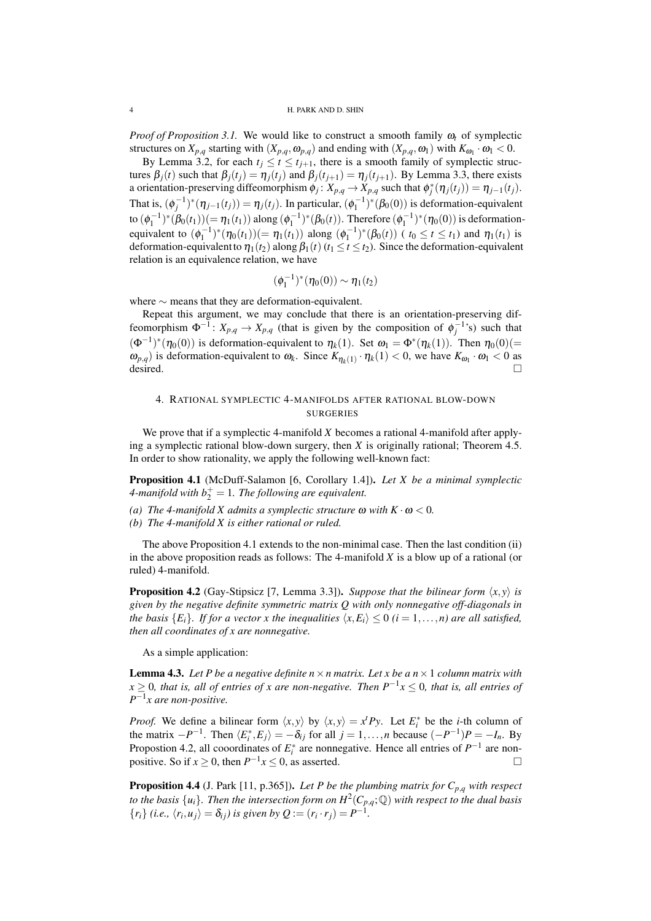*Proof of Proposition [3.1.](#page-1-1)* We would like to construct a smooth family <sup>ω</sup>*<sup>t</sup>* of symplectic structures on  $X_{p,q}$  starting with  $(X_{p,q}, \omega_{p,q})$  and ending with  $(X_{p,q}, \omega_1)$  with  $K_{\omega_1} \cdot \omega_1 < 0$ .

By Lemma [3.2,](#page-2-0) for each  $t_i \le t \le t_{i+1}$ , there is a smooth family of symplectic structures  $\beta_i(t)$  such that  $\beta_j(t_j) = \eta_j(t_j)$  and  $\beta_j(t_{j+1}) = \eta_j(t_{j+1})$ . By Lemma [3.3,](#page-2-1) there exists a orientation-preserving diffeomorphism  $\phi_j: X_{p,q} \to X_{p,q}$  such that  $\phi_j^*(\eta_j(t_j)) = \eta_{j-1}(t_j)$ . That is,  $(\phi_j^{-1})^*(\eta_{j-1}(t_j)) = \eta_j(t_j)$ . In particular,  $(\phi_1^{-1})^*(\beta_0(0))$  is deformation-equivalent to  $(\phi_1^{-1})^*(\beta_0(t_1)) (= \eta_1(t_1))$  along  $(\phi_1^{-1})^*(\beta_0(t))$ . Therefore  $(\phi_1^{-1})^*(\eta_0(0))$  is deformationequivalent to  $(\phi_1^{-1})^*(\eta_0(t_1)) (= \eta_1(t_1))$  along  $(\phi_1^{-1})^*(\beta_0(t))$  ( $t_0 \le t \le t_1$ ) and  $\eta_1(t_1)$  is deformation-equivalent to  $\eta_1(t_2)$  along  $\beta_1(t)$  ( $t_1 \le t \le t_2$ ). Since the deformation-equivalent relation is an equivalence relation, we have

$$
(\phi_1^{-1})^*(\eta_0(0)) \sim \eta_1(t_2)
$$

where ∼ means that they are deformation-equivalent.

Repeat this argument, we may conclude that there is an orientation-preserving diffeomorphism  $\Phi^{-1}$ :  $X_{p,q} \to X_{p,q}$  (that is given by the composition of  $\phi_j^{-1}$ 's) such that  $(\Phi^{-1})^*(\eta_0(0))$  is deformation-equivalent to  $\eta_k(1)$ . Set  $\omega_1 = \Phi^*(\eta_k(1))$ . Then  $\eta_0(0) (=$  $ω_{p,q}$ ) is deformation-equivalent to  $ω_k$ . Since  $K_{\eta_k(1)} \cdot \eta_k(1) < 0$ , we have  $K_{ω_1} \cdot ω_1 < 0$  as  $\overline{\text{desired}}$ .

# <span id="page-3-0"></span>4. RATIONAL SYMPLECTIC 4-MANIFOLDS AFTER RATIONAL BLOW-DOWN **SURGERIES**

We prove that if a symplectic 4-manifold *X* becomes a rational 4-manifold after applying a symplectic rational blow-down surgery, then *X* is originally rational; Theorem [4.5.](#page-4-0) In order to show rationality, we apply the following well-known fact:

<span id="page-3-1"></span>Proposition 4.1 (McDuff-Salamon [\[6,](#page-6-5) Corollary 1.4]). *Let X be a minimal symplectic* 4-manifold with  $b_2^+=1$ . The following are equivalent.

- *(a)* The 4-manifold X admits a symplectic structure  $\omega$  with  $K \cdot \omega < 0$ .
- *(b) The 4-manifold X is either rational or ruled.*

The above Proposition [4.1](#page-3-1) extends to the non-minimal case. Then the last condition (ii) in the above proposition reads as follows: The 4-manifold *X* is a blow up of a rational (or ruled) 4-manifold.

<span id="page-3-2"></span>**Proposition 4.2** (Gay-Stipsicz [\[7,](#page-6-6) Lemma 3.3]). *Suppose that the bilinear form*  $\langle x, y \rangle$  *is given by the negative definite symmetric matrix Q with only nonnegative off-diagonals in the basis*  ${E_i}$ *. If for a vector x the inequalities*  $\langle x, E_i \rangle \leq 0$   $(i = 1, \ldots, n)$  are all satisfied, *then all coordinates of x are nonnegative.*

As a simple application:

<span id="page-3-3"></span>**Lemma 4.3.** Let P be a negative definite  $n \times n$  matrix. Let x be a  $n \times 1$  column matrix with *x* ≥ 0*, that is, all of entries of x are non-negative. Then P*−<sup>1</sup> *x* ≤ 0*, that is, all entries of P* −1 *x are non-positive.*

*Proof.* We define a bilinear form  $\langle x, y \rangle$  by  $\langle x, y \rangle = x^t P y$ . Let  $E_i^*$  be the *i*-th column of the matrix  $-P^{-1}$ . Then  $\langle E_i^*, E_j \rangle = -\delta_{ij}$  for all  $j = 1, ..., n$  because  $(-P^{-1})P = -I_n$ . By Propostion [4.2,](#page-3-2) all cooordinates of  $E_i^*$  are nonnegative. Hence all entries of  $P^{-1}$  are nonpositive. So if  $x \ge 0$ , then  $P^{-1}x \le 0$ , as asserted.

**Proposition 4.4** (J. Park [\[11,](#page-6-1) p.365]). Let P be the plumbing matrix for  $C_{p,q}$  with respect *to the basis*  $\{u_i\}$ . Then the intersection form on  $H^2(C_{p,q};{\mathbb Q})$  with respect to the dual basis  ${r_i}$  *(i.e.,*  $\langle r_i, u_j \rangle = \delta_{ij}$ *) is given by Q* :=  $(r_i \cdot r_j) = P^{-1}$ *.*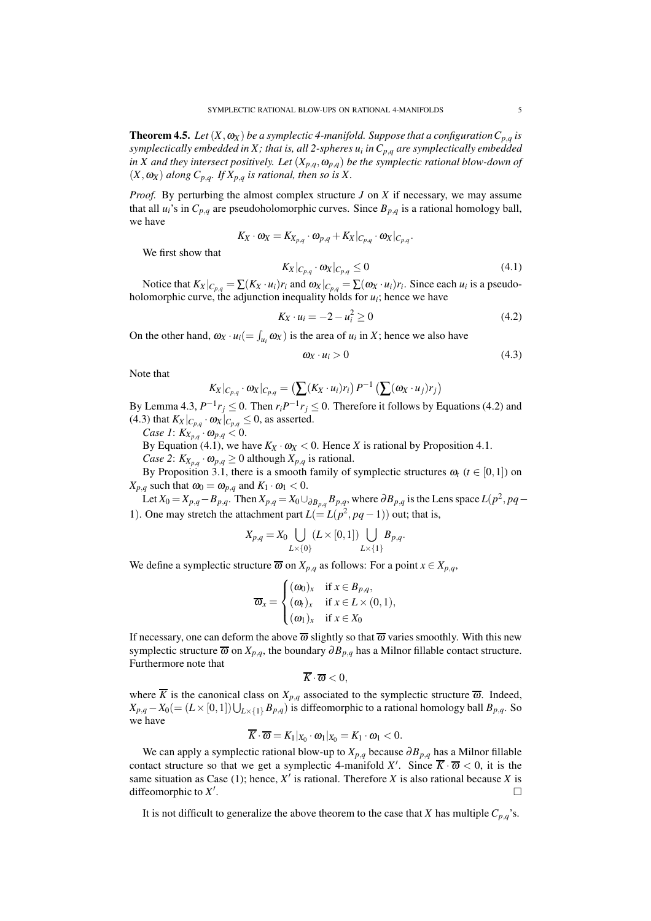<span id="page-4-0"></span>**Theorem 4.5.** *Let*  $(X, \omega_X)$  *be a symplectic 4-manifold. Suppose that a configuration*  $C_{p,q}$  *is symplectically embedded in X ; that is, all 2-spheres u<sup>i</sup> in Cp*,*<sup>q</sup> are symplectically embedded in X and they intersect positively. Let*  $(X_{p,q}, \omega_{p,q})$  *be the symplectic rational blow-down of*  $(X, \omega_X)$  *along*  $C_{p,q}$ *. If*  $X_{p,q}$  *is rational, then so is* X.

*Proof.* By perturbing the almost complex structure *J* on *X* if necessary, we may assume that all  $u_i$ 's in  $C_{p,q}$  are pseudoholomorphic curves. Since  $B_{p,q}$  is a rational homology ball, we have

$$
K_X\cdot \omega_X=K_{X_{p,q}}\cdot \omega_{p,q}+K_X|_{C_{p,q}}\cdot \omega_X|_{C_{p,q}}.
$$

We first show that

<span id="page-4-3"></span>
$$
K_X|_{C_{p,q}} \cdot \omega_X|_{C_{p,q}} \le 0 \tag{4.1}
$$

Notice that  $K_X|_{C_{p,q}} = \sum (K_X \cdot u_i)r_i$  and  $\omega_X|_{C_{p,q}} = \sum (\omega_X \cdot u_i)r_i$ . Since each  $u_i$  is a pseudoholomorphic curve, the adjunction inequality holds for  $u_i$ ; hence we have

<span id="page-4-1"></span>
$$
K_X \cdot u_i = -2 - u_i^2 \ge 0 \tag{4.2}
$$

On the other hand,  $\omega_X \cdot u_i (= \int_{u_i} \omega_X)$  is the area of  $u_i$  in *X*; hence we also have

<span id="page-4-2"></span>
$$
\omega_X \cdot u_i > 0 \tag{4.3}
$$

Note that

$$
K_X|_{C_{p,q}} \cdot \omega_X|_{C_{p,q}} = \left(\sum (K_X \cdot u_i)r_i\right) P^{-1}\left(\sum (\omega_X \cdot u_j)r_j\right)
$$

By Lemma [4.3,](#page-3-3)  $P^{-1}r_j \le 0$ . Then  $r_iP^{-1}r_j \le 0$ . Therefore it follows by Equations [\(4.2\)](#page-4-1) and [\(4.3\)](#page-4-2) that  $K_X|_{C_{p,q}} \cdot \omega_X|_{C_{p,q}} \leq 0$ , as asserted.

*Case 1*:  $K_{X_{p,q}} \cdot \omega_{p,q} < 0$ .

By Equation [\(4.1\)](#page-4-3), we have  $K_X \cdot \omega_X < 0$ . Hence *X* is rational by Proposition [4.1.](#page-3-1)

*Case 2*:  $K_{X_{p,q}} \cdot \omega_{p,q} \geq 0$  although  $X_{p,q}$  is rational.

By Proposition [3.1,](#page-1-1) there is a smooth family of symplectic structures  $\omega_t$  ( $t \in [0,1]$ ) on  $X_{p,q}$  such that  $\omega_0 = \omega_{p,q}$  and  $K_1 \cdot \omega_1 < 0$ .

Let  $X_0 = X_{p,q} - B_{p,q}$ . Then  $X_{p,q} = X_0 \cup_{\partial B_{p,q}} B_{p,q}$ , where  $\partial B_{p,q}$  is the Lens space  $L(p^2, pq - q)$ 1). One may stretch the attachment part  $L(= L(p^2, pq-1))$  out; that is,

$$
X_{p,q} = X_0 \bigcup_{L \times \{0\}} (L \times [0,1]) \bigcup_{L \times \{1\}} B_{p,q}.
$$

We define a symplectic structure  $\overline{\omega}$  on  $X_{p,q}$  as follows: For a point  $x \in X_{p,q}$ ,

$$
\overline{\omega}_x = \begin{cases}\n(\omega_0)_x & \text{if } x \in B_{p,q}, \\
(\omega_t)_x & \text{if } x \in L \times (0,1), \\
(\omega_1)_x & \text{if } x \in X_0\n\end{cases}
$$

If necessary, one can deform the above  $\overline{\omega}$  slightly so that  $\overline{\omega}$  varies smoothly. With this new symplectic structure  $\overline{\omega}$  on  $X_{p,q}$ , the boundary  $\partial B_{p,q}$  has a Milnor fillable contact structure. Furthermore note that

$$
\overline{K}\cdot\overline{\omega}<0,
$$

where  $\overline{K}$  is the canonical class on  $X_{p,q}$  associated to the symplectic structure  $\overline{\omega}$ . Indeed,  $X_{p,q} - X_0 (= (L \times [0,1]) \bigcup_{L \times \{1\}} B_{p,q})$  is diffeomorphic to a rational homology ball  $B_{p,q}$ . So we have

$$
\overline{K}\cdot\overline{\omega}=K_1|_{X_0}\cdot\omega_1|_{X_0}=K_1\cdot\omega_1<0.
$$

We can apply a symplectic rational blow-up to *Xp*,*<sup>q</sup>* because ∂*Bp*,*<sup>q</sup>* has a Milnor fillable contact structure so that we get a symplectic 4-manifold X'. Since  $\overline{K} \cdot \overline{\omega} < 0$ , it is the same situation as Case (1); hence,  $X'$  is rational. Therefore  $X$  is also rational because  $X$  is diffeomorphic to *X* ′ .

It is not difficult to generalize the above theorem to the case that *X* has multiple  $C_{p,q}$ 's.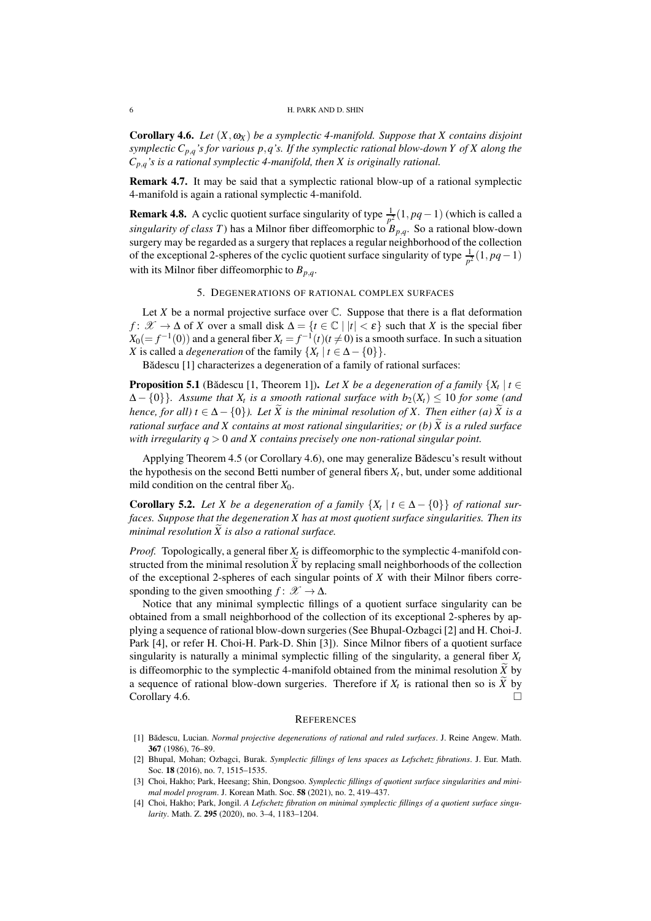#### 6 H. PARK AND D. SHIN

<span id="page-5-0"></span>**Corollary 4.6.** *Let*  $(X, \omega_X)$  *be a symplectic 4-manifold. Suppose that* X *contains disjoint symplectic Cp*,*q's for various p*,*q's. If the symplectic rational blow-down Y of X along the*  $C_{p,q}$ <sup>'s</sup> is a rational symplectic 4-manifold, then X is originally rational.

Remark 4.7. It may be said that a symplectic rational blow-up of a rational symplectic 4-manifold is again a rational symplectic 4-manifold.

**Remark 4.8.** A cyclic quotient surface singularity of type  $\frac{1}{p^2}(1, pq-1)$  (which is called a *singularity of class T*) has a Milnor fiber diffeomorphic to *Bp*,*q*. So a rational blow-down surgery may be regarded as a surgery that replaces a regular neighborhood of the collection of the exceptional 2-spheres of the cyclic quotient surface singularity of type  $\frac{1}{p^2}(1, pq-1)$ with its Milnor fiber diffeomorphic to  $B_{p,q}$ .

# 5. DEGENERATIONS OF RATIONAL COMPLEX SURFACES

<span id="page-5-4"></span>Let  $X$  be a normal projective surface over  $C$ . Suppose that there is a flat deformation *f* :  $\mathcal{X} \to \Delta$  of *X* over a small disk  $\Delta = \{t \in \mathbb{C} \mid |t| < \varepsilon\}$  such that *X* is the special fiber  $X_0(=f^{-1}(0))$  and a general fiber  $X_t = f^{-1}(t)$   $(t \neq 0)$  is a smooth surface. In such a situation *X* is called a *degeneration* of the family  $\{X_t | t \in \Delta - \{0\}\}\$ .

Bădescu [\[1\]](#page-5-1) characterizes a degeneration of a family of rational surfaces:

<span id="page-5-2"></span>**Proposition 5.1** (Bădescu [\[1,](#page-5-1) Theorem 1]). *Let X be a degeneration of a family*  $\{X_t | t \in$  $\Delta - \{0\}$ }. Assume that  $X_t$  is a smooth rational surface with  $b_2(X_t) \leq 10$  for some (and *hence, for all) t*  $\in \Delta - \{0\}$ *). Let*  $\widetilde{X}$  *is the minimal resolution of X. Then either (a)*  $\widetilde{X}$  *is a rational surface and X contains at most rational singularities; or (b)*  $\widetilde{X}$  *is a ruled surface with irregularity q* > 0 *and X contains precisely one non-rational singular point.*

Applying Theorem [4.5](#page-4-0) (or Corollary [4.6\)](#page-5-0), one may generalize Bădescu's result without the hypothesis on the second Betti number of general fibers  $X_t$ , but, under some additional mild condition on the central fiber  $X_0$ .

<span id="page-5-3"></span>**Corollary 5.2.** Let *X* be a degeneration of a family  $\{X_t | t \in \Delta - \{0\}\}\$  of rational sur*faces. Suppose that the degeneration X has at most quotient surface singularities. Then its minimal resolution*  $\widetilde{X}$  *is also a rational surface.* 

*Proof.* Topologically, a general fiber *X<sup>t</sup>* is diffeomorphic to the symplectic 4-manifold constructed from the minimal resolution  $\ddot{X}$  by replacing small neighborhoods of the collection of the exceptional 2-spheres of each singular points of *X* with their Milnor fibers corresponding to the given smoothing  $f: \mathcal{X} \to \Delta$ .

Notice that any minimal symplectic fillings of a quotient surface singularity can be obtained from a small neighborhood of the collection of its exceptional 2-spheres by applying a sequence of rational blow-down surgeries (See Bhupal-Ozbagci [\[2\]](#page-5-5) and H. Choi-J. Park [\[4\]](#page-5-6), or refer H. Choi-H. Park-D. Shin [\[3\]](#page-5-7)). Since Milnor fibers of a quotient surface singularity is naturally a minimal symplectic filling of the singularity, a general fiber  $X_t$ is diffeomorphic to the symplectic 4-manifold obtained from the minimal resolution  $\tilde{X}$  by a sequence of rational blow-down surgeries. Therefore if  $X_t$  is rational then so is  $X$  by  $Corollary 4.6.$  $Corollary 4.6.$ 

#### **REFERENCES**

- <span id="page-5-1"></span>[1] Bădescu, Lucian. *Normal projective degenerations of rational and ruled surfaces*. J. Reine Angew. Math. 367 (1986), 76–89.
- <span id="page-5-5"></span>[2] Bhupal, Mohan; Ozbagci, Burak. *Symplectic fillings of lens spaces as Lefschetz fibrations*. J. Eur. Math. Soc. 18 (2016), no. 7, 1515–1535.
- <span id="page-5-7"></span>[3] Choi, Hakho; Park, Heesang; Shin, Dongsoo. *Symplectic fillings of quotient surface singularities and minimal model program*. J. Korean Math. Soc. 58 (2021), no. 2, 419–437.
- <span id="page-5-6"></span>[4] Choi, Hakho; Park, Jongil. *A Lefschetz fibration on minimal symplectic fillings of a quotient surface singularity*. Math. Z. 295 (2020), no. 3–4, 1183–1204.